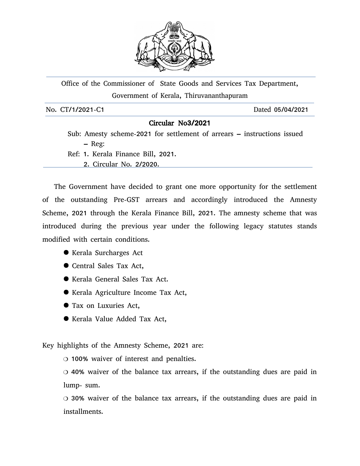

Office of the Commissioner of State Goods and Services Tax Department, Government of Kerala, Thiruvananthapuram

No. CT/1/2021-C1 Dated 05/04/2021

## Circular No3/2021

 Sub: Amesty scheme-2021 for settlement of arrears – instructions issued – Reg:

 Ref: 1. Kerala Finance Bill, 2021. 2. Circular No. 2/2020.

The Government have decided to grant one more opportunity for the settlement of the outstanding Pre-GST arrears and accordingly introduced the Amnesty Scheme, 2021 through the Kerala Finance Bill, 2021. The amnesty scheme that was introduced during the previous year under the following legacy statutes stands modified with certain conditions.

- Kerala Surcharges Act
- Central Sales Tax Act,
- Kerala General Sales Tax Act.
- Kerala Agriculture Income Tax Act,
- Tax on Luxuries Act,
- Kerala Value Added Tax Act,

Key highlights of the Amnesty Scheme, 2021 are:

100% waiver of interest and penalties.

 40% waiver of the balance tax arrears, if the outstanding dues are paid in lump- sum.

 30% waiver of the balance tax arrears, if the outstanding dues are paid in installments.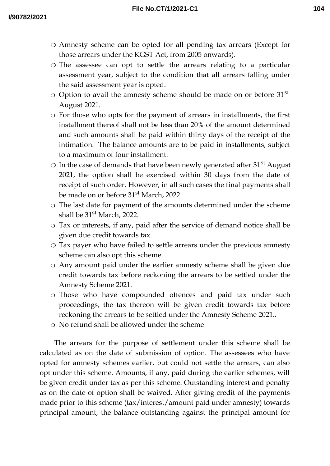- Amnesty scheme can be opted for all pending tax arrears (Except for those arrears under the KGST Act, from 2005 onwards).
- The assessee can opt to settle the arrears relating to a particular assessment year, subject to the condition that all arrears falling under the said assessment year is opted.
- $\circ$  Option to avail the amnesty scheme should be made on or before 31<sup>st</sup> August 2021.
- For those who opts for the payment of arrears in installments, the first installment thereof shall not be less than 20% of the amount determined and such amounts shall be paid within thirty days of the receipt of the intimation. The balance amounts are to be paid in installments, subject to a maximum of four installment.
- $\circ$  In the case of demands that have been newly generated after 31<sup>st</sup> August 2021, the option shall be exercised within 30 days from the date of receipt of such order. However, in all such cases the final payments shall be made on or before 31<sup>st</sup> March, 2022.
- The last date for payment of the amounts determined under the scheme shall be 31<sup>st</sup> March, 2022.
- Tax or interests, if any, paid after the service of demand notice shall be given due credit towards tax.
- Tax payer who have failed to settle arrears under the previous amnesty scheme can also opt this scheme.
- Any amount paid under the earlier amnesty scheme shall be given due credit towards tax before reckoning the arrears to be settled under the Amnesty Scheme 2021.
- Those who have compounded offences and paid tax under such proceedings, the tax thereon will be given credit towards tax before reckoning the arrears to be settled under the Amnesty Scheme 2021..
- No refund shall be allowed under the scheme

The arrears for the purpose of settlement under this scheme shall be calculated as on the date of submission of option. The assessees who have opted for amnesty schemes earlier, but could not settle the arrears, can also opt under this scheme. Amounts, if any, paid during the earlier schemes, will be given credit under tax as per this scheme. Outstanding interest and penalty as on the date of option shall be waived. After giving credit of the payments made prior to this scheme (tax/interest/amount paid under amnesty) towards principal amount, the balance outstanding against the principal amount for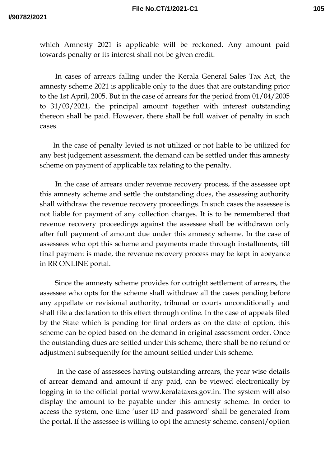which Amnesty 2021 is applicable will be reckoned. Any amount paid towards penalty or its interest shall not be given credit.

In cases of arrears falling under the Kerala General Sales Tax Act, the amnesty scheme 2021 is applicable only to the dues that are outstanding prior to the 1st April, 2005. But in the case of arrears for the period from 01/04/2005 to 31/03/2021, the principal amount together with interest outstanding thereon shall be paid. However, there shall be full waiver of penalty in such cases.

In the case of penalty levied is not utilized or not liable to be utilized for any best judgement assessment, the demand can be settled under this amnesty scheme on payment of applicable tax relating to the penalty.

In the case of arrears under revenue recovery process, if the assessee opt this amnesty scheme and settle the outstanding dues, the assessing authority shall withdraw the revenue recovery proceedings. In such cases the assessee is not liable for payment of any collection charges. It is to be remembered that revenue recovery proceedings against the assessee shall be withdrawn only after full payment of amount due under this amnesty scheme. In the case of assessees who opt this scheme and payments made through installments, till final payment is made, the revenue recovery process may be kept in abeyance in RR ONLINE portal.

Since the amnesty scheme provides for outright settlement of arrears, the assessee who opts for the scheme shall withdraw all the cases pending before any appellate or revisional authority, tribunal or courts unconditionally and shall file a declaration to this effect through online. In the case of appeals filed by the State which is pending for final orders as on the date of option, this scheme can be opted based on the demand in original assessment order. Once the outstanding dues are settled under this scheme, there shall be no refund or adjustment subsequently for the amount settled under this scheme.

In the case of assessees having outstanding arrears, the year wise details of arrear demand and amount if any paid, can be viewed electronically by logging in to the official portal www.keralataxes.gov.in. The system will also display the amount to be payable under this amnesty scheme. In order to access the system, one time 'user ID and password' shall be generated from the portal. If the assessee is willing to opt the amnesty scheme, consent/option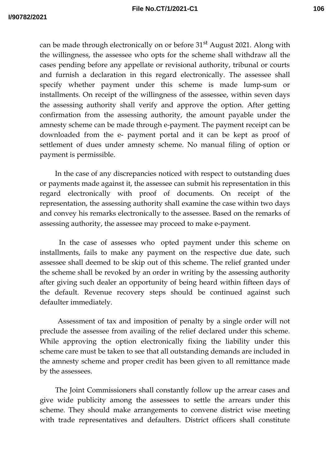can be made through electronically on or before  $31<sup>st</sup>$  August 2021. Along with the willingness, the assessee who opts for the scheme shall withdraw all the cases pending before any appellate or revisional authority, tribunal or courts and furnish a declaration in this regard electronically. The assessee shall specify whether payment under this scheme is made lump-sum or installments. On receipt of the willingness of the assessee, within seven days the assessing authority shall verify and approve the option. After getting confirmation from the assessing authority, the amount payable under the amnesty scheme can be made through e-payment. The payment receipt can be downloaded from the e- payment portal and it can be kept as proof of settlement of dues under amnesty scheme. No manual filing of option or payment is permissible.

In the case of any discrepancies noticed with respect to outstanding dues or payments made against it, the assessee can submit his representation in this regard electronically with proof of documents. On receipt of the representation, the assessing authority shall examine the case within two days and convey his remarks electronically to the assessee. Based on the remarks of assessing authority, the assessee may proceed to make e-payment.

In the case of assesses who opted payment under this scheme on installments, fails to make any payment on the respective due date, such assessee shall deemed to be skip out of this scheme. The relief granted under the scheme shall be revoked by an order in writing by the assessing authority after giving such dealer an opportunity of being heard within fifteen days of the default. Revenue recovery steps should be continued against such defaulter immediately.

Assessment of tax and imposition of penalty by a single order will not preclude the assessee from availing of the relief declared under this scheme. While approving the option electronically fixing the liability under this scheme care must be taken to see that all outstanding demands are included in the amnesty scheme and proper credit has been given to all remittance made by the assessees.

The Joint Commissioners shall constantly follow up the arrear cases and give wide publicity among the assessees to settle the arrears under this scheme. They should make arrangements to convene district wise meeting with trade representatives and defaulters. District officers shall constitute